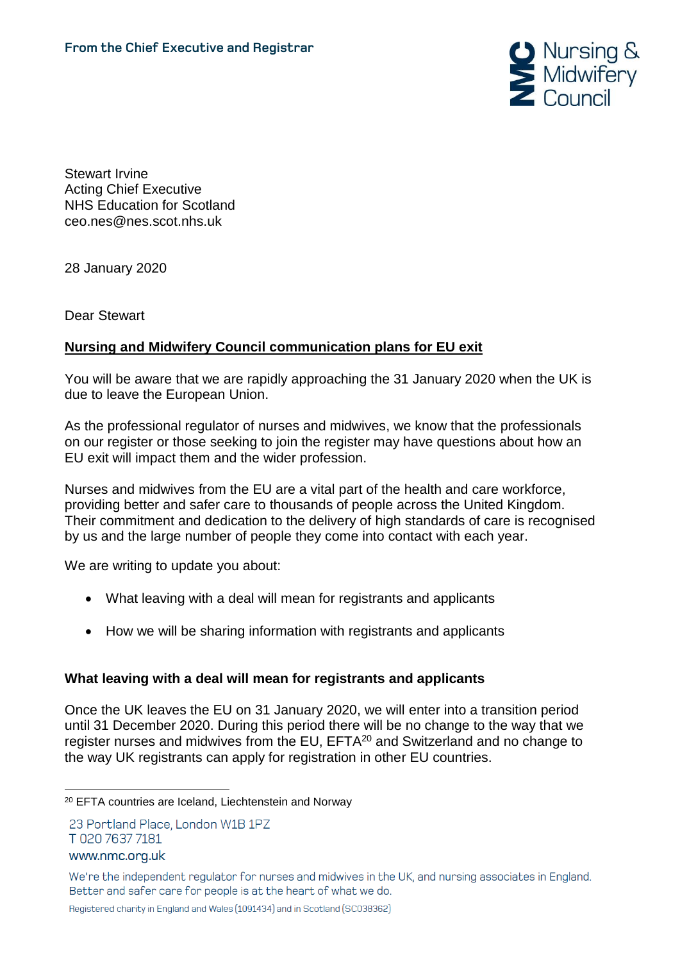

Stewart Irvine Acting Chief Executive NHS Education for Scotland ceo.nes@nes.scot.nhs.uk

28 January 2020

Dear Stewart

# **Nursing and Midwifery Council communication plans for EU exit**

You will be aware that we are rapidly approaching the 31 January 2020 when the UK is due to leave the European Union.

As the professional regulator of nurses and midwives, we know that the professionals on our register or those seeking to join the register may have questions about how an EU exit will impact them and the wider profession.

Nurses and midwives from the EU are a vital part of the health and care workforce, providing better and safer care to thousands of people across the United Kingdom. Their commitment and dedication to the delivery of high standards of care is recognised by us and the large number of people they come into contact with each year.

We are writing to update you about:

- What leaving with a deal will mean for registrants and applicants
- How we will be sharing information with registrants and applicants

## **What leaving with a deal will mean for registrants and applicants**

Once the UK leaves the EU on 31 January 2020, we will enter into a transition period until 31 December 2020. During this period there will be no change to the way that we register nurses and midwives from the EU, EFTA<sup>20</sup> and Switzerland and no change to the way UK registrants can apply for registration in other EU countries.

23 Portland Place, London W1B 1PZ T 020 7637 7181

www.nmc.org.uk

<sup>&</sup>lt;u>.</u> <sup>20</sup> EFTA countries are Iceland, Liechtenstein and Norway

We're the independent regulator for nurses and midwives in the UK, and nursing associates in England. Better and safer care for people is at the heart of what we do.

Registered charity in England and Wales (1091434) and in Scotland (SC038362)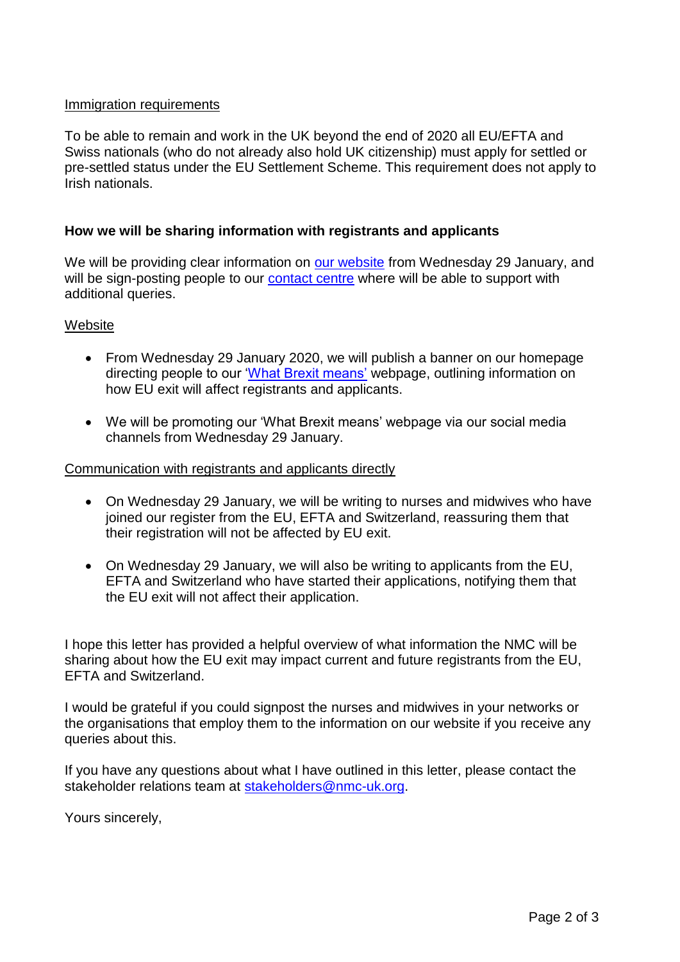### Immigration requirements

To be able to remain and work in the UK beyond the end of 2020 all EU/EFTA and Swiss nationals (who do not already also hold UK citizenship) must apply for settled or pre-settled status under the EU Settlement Scheme. This requirement does not apply to Irish nationals.

### **How we will be sharing information with registrants and applicants**

We will be providing clear information on [our website](http://www.nmc.org.uk/brexit) from Wednesday 29 January, and will be sign-posting people to our [contact centre](https://www.nmc.org.uk/contact-us/) where will be able to support with additional queries.

#### **Website**

- From Wednesday 29 January 2020, we will publish a banner on our homepage directing people to our ['What Brexit means'](http://www.nmc.org.uk/brexit) webpage, outlining information on how EU exit will affect registrants and applicants.
- We will be promoting our 'What Brexit means' webpage via our social media channels from Wednesday 29 January.

#### Communication with registrants and applicants directly

- On Wednesday 29 January, we will be writing to nurses and midwives who have joined our register from the EU, EFTA and Switzerland, reassuring them that their registration will not be affected by EU exit.
- On Wednesday 29 January, we will also be writing to applicants from the EU, EFTA and Switzerland who have started their applications, notifying them that the EU exit will not affect their application.

I hope this letter has provided a helpful overview of what information the NMC will be sharing about how the EU exit may impact current and future registrants from the EU, EFTA and Switzerland.

I would be grateful if you could signpost the nurses and midwives in your networks or the organisations that employ them to the information on our website if you receive any queries about this.

If you have any questions about what I have outlined in this letter, please contact the stakeholder relations team at [stakeholders@nmc-uk.org.](mailto:stakeholders@nmc-uk.org)

Yours sincerely,